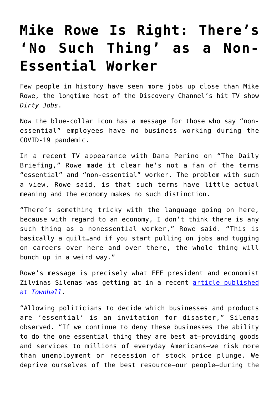## **[Mike Rowe Is Right: There's](https://intellectualtakeout.org/2020/05/mike-rowe-is-right-theres-no-such-thing-as-a-non-essential-worker/) ['No Such Thing' as a Non-](https://intellectualtakeout.org/2020/05/mike-rowe-is-right-theres-no-such-thing-as-a-non-essential-worker/)[Essential Worker](https://intellectualtakeout.org/2020/05/mike-rowe-is-right-theres-no-such-thing-as-a-non-essential-worker/)**

Few people in history have seen more jobs up close than Mike Rowe, the longtime host of the Discovery Channel's hit TV show *Dirty Jobs*.

Now the blue-collar icon has a message for those who say "nonessential" employees have no business working during the COVID-19 pandemic.

In a recent TV appearance with Dana Perino on "The Daily Briefing," Rowe made it clear he's not a fan of the terms "essential" and "non-essential" worker. The problem with such a view, Rowe said, is that such terms have little actual meaning and the economy makes no such distinction.

"There's something tricky with the language going on here, because with regard to an economy, I don't think there is any such thing as a nonessential worker," Rowe said. "This is basically a quilt…and if you start pulling on jobs and tugging on careers over here and over there, the whole thing will bunch up in a weird way."

Rowe's message is precisely what FEE president and economist Zilvinas Silenas was getting at in a recent [article published](https://townhall.com/columnists/zilvinassilenas/2020/04/21/arent-we-all-essential-n2567239) [at](https://townhall.com/columnists/zilvinassilenas/2020/04/21/arent-we-all-essential-n2567239) *[Townhall](https://townhall.com/columnists/zilvinassilenas/2020/04/21/arent-we-all-essential-n2567239)*.

"Allowing politicians to decide which businesses and products are 'essential' is an invitation for disaster," Silenas observed. "If we continue to deny these businesses the ability to do the one essential thing they are best at—providing goods and services to millions of everyday Americans—we risk more than unemployment or recession of stock price plunge. We deprive ourselves of the best resource—our people—during the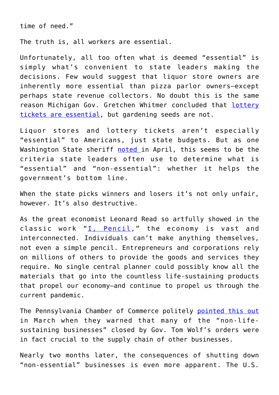time of need."

The truth is, all workers are essential.

Unfortunately, all too often what is deemed "essential" is simply what's convenient to state leaders making the decisions. Few would suggest that liquor store owners are inherently more essential than pizza parlor owners—except perhaps state revenue collectors. No doubt this is the same reason Michigan Gov. Gretchen Whitmer concluded that [lottery](https://thefederalist.com/2020/04/14/in-name-of-coronavirus-michigan-governor-bans-seed-sales-but-allows-lottery-tickets/) [tickets are essential](https://thefederalist.com/2020/04/14/in-name-of-coronavirus-michigan-governor-bans-seed-sales-but-allows-lottery-tickets/), but gardening seeds are not.

Liquor stores and lottery tickets aren't especially "essential" to Americans, just state budgets. But as one Washington State sheriff [noted](https://m.facebook.com/story.php?story_fbid=2754200934627471&id=2043990622315176) in April, this seems to be the criteria state leaders often use to determine what is "essential" and "non-essential": whether it helps the government's bottom line.

When the state picks winners and losers it's not only unfair, however. It's also destructive.

As the great economist Leonard Read so artfully showed in the classic work "[I, Pencil,](https://fee.org/resources/i-pencil/)" the economy is vast and interconnected. Individuals can't make anything themselves, not even a simple pencil. Entrepreneurs and corporations rely on millions of others to provide the goods and services they require. No single central planner could possibly know all the materials that go into the countless life-sustaining products that propel our economy—and continue to propel us through the current pandemic.

The Pennsylvania Chamber of Commerce politely [pointed this out](https://www.pachamber.org/media/3040/Joint_Statement_on_Governors_COVID19_order_03202020/) in March when they warned that many of the "non-lifesustaining businesses" closed by Gov. Tom Wolf's orders were in fact crucial to the supply chain of other businesses.

Nearly two months later, the consequences of shutting down "non-essential" businesses is even more apparent. The U.S.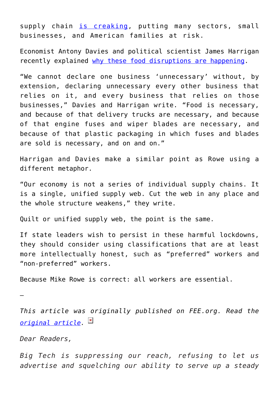supply chain [is creaking](https://www.actionnewsjax.com/living/food-cooking/disruption-us-food-supply-chain-impacts-local-businesses-families/ZHNSTQIWYREADIRH7QGS3XKJVU/), putting many sectors, small businesses, and American families at risk.

Economist Antony Davies and political scientist James Harrigan recently explained [why these food disruptions are happening](https://fee.org/articles/meat-supply-disruptions-are-the-bitter-harvest-of-the-non-essential-worker-fallacy/).

"We cannot declare one business 'unnecessary' without, by extension, declaring unnecessary every other business that relies on it, and every business that relies on those businesses," Davies and Harrigan write. "Food is necessary, and because of that delivery trucks are necessary, and because of that engine fuses and wiper blades are necessary, and because of that plastic packaging in which fuses and blades are sold is necessary, and on and on."

Harrigan and Davies make a similar point as Rowe using a different metaphor.

"Our economy is not a series of individual supply chains. It is a single, unified supply web. Cut the web in any place and the whole structure weakens," they write.

Quilt or unified supply web, the point is the same.

If state leaders wish to persist in these harmful lockdowns, they should consider using classifications that are at least more intellectually honest, such as "preferred" workers and "non-preferred" workers.

Because Mike Rowe is correct: all workers are essential.

—

*This article was originally published on FEE.org. Read the [original article.](https://fee.org/articles/mike-rowe-is-right-there-s-no-such-thing-as-a-non-essential-worker/)*

*Dear Readers,*

*Big Tech is suppressing our reach, refusing to let us advertise and squelching our ability to serve up a steady*